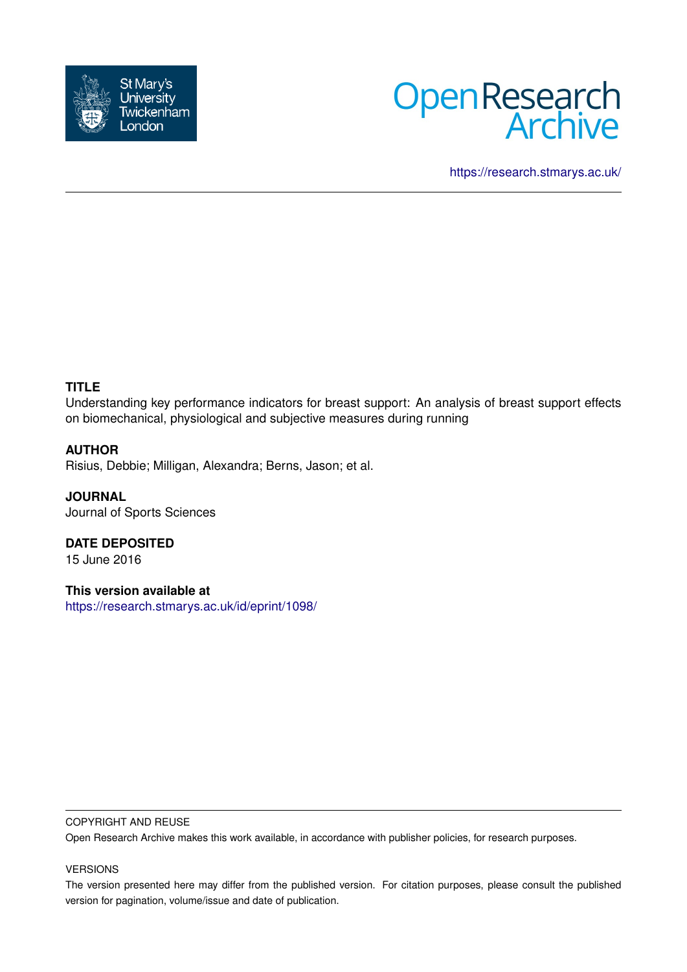



<https://research.stmarys.ac.uk/>

# **TITLE**

Understanding key performance indicators for breast support: An analysis of breast support effects on biomechanical, physiological and subjective measures during running

## **AUTHOR**

Risius, Debbie; Milligan, Alexandra; Berns, Jason; et al.

**JOURNAL** Journal of Sports Sciences

**DATE DEPOSITED** 15 June 2016

**This version available at** <https://research.stmarys.ac.uk/id/eprint/1098/>

## COPYRIGHT AND REUSE

Open Research Archive makes this work available, in accordance with publisher policies, for research purposes.

## VERSIONS

The version presented here may differ from the published version. For citation purposes, please consult the published version for pagination, volume/issue and date of publication.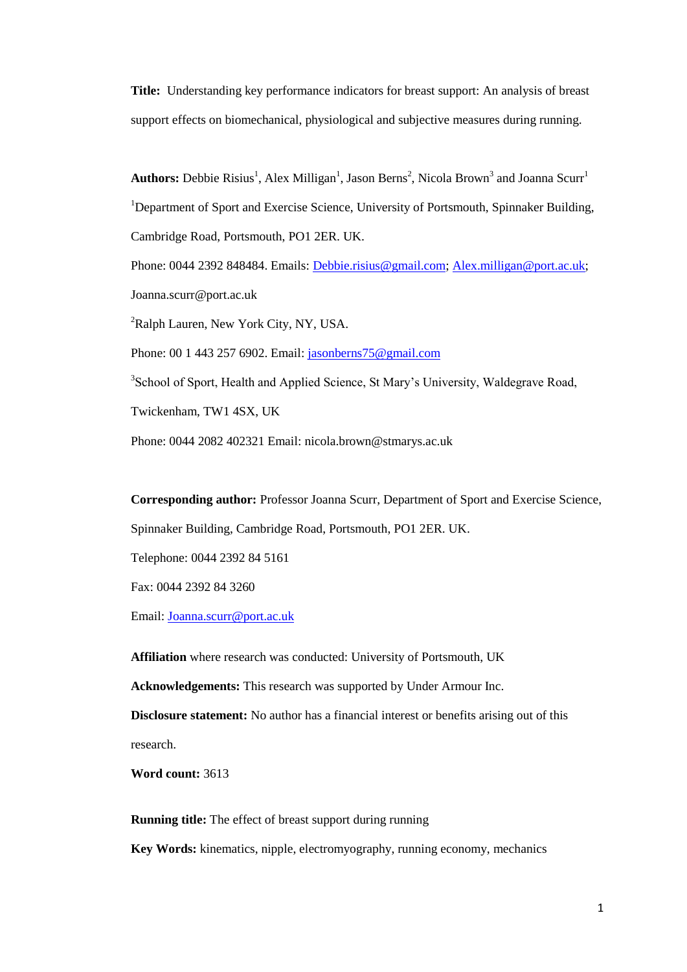**Title:** Understanding key performance indicators for breast support: An analysis of breast support effects on biomechanical, physiological and subjective measures during running.

Authors: Debbie Risius<sup>1</sup>, Alex Milligan<sup>1</sup>, Jason Berns<sup>2</sup>, Nicola Brown<sup>3</sup> and Joanna Scurr<sup>1</sup> <sup>1</sup>Department of Sport and Exercise Science, University of Portsmouth, Spinnaker Building, Cambridge Road, Portsmouth, PO1 2ER. UK.

Phone: 0044 2392 848484. Emails: [Debbie.risius@gmail.com;](mailto:Debbie.risius@gmail.com) [Alex.milligan@port.ac.uk;](mailto:Alex.milligan@port.ac.uk) Joanna.scurr@port.ac.uk

<sup>2</sup>Ralph Lauren, New York City, NY, USA.

Phone: 00 1 443 257 6902. Email: [jasonberns75@gmail.com](mailto:jasonberns75@gmail.com)

<sup>3</sup> School of Sport, Health and Applied Science, St Mary's University, Waldegrave Road,

Twickenham, TW1 4SX, UK

Phone: 0044 2082 402321 Email: nicola.brown@stmarys.ac.uk

**Corresponding author:** Professor Joanna Scurr, Department of Sport and Exercise Science,

Spinnaker Building, Cambridge Road, Portsmouth, PO1 2ER. UK.

Telephone: 0044 2392 84 5161

Fax: 0044 2392 84 3260

Email: [Joanna.scurr@port.ac.uk](mailto:Joanna.scurr@port.ac.uk)

**Affiliation** where research was conducted: University of Portsmouth, UK

**Acknowledgements:** This research was supported by Under Armour Inc.

**Disclosure statement:** No author has a financial interest or benefits arising out of this research.

**Word count:** 3613

**Running title:** The effect of breast support during running

**Key Words:** kinematics, nipple, electromyography, running economy, mechanics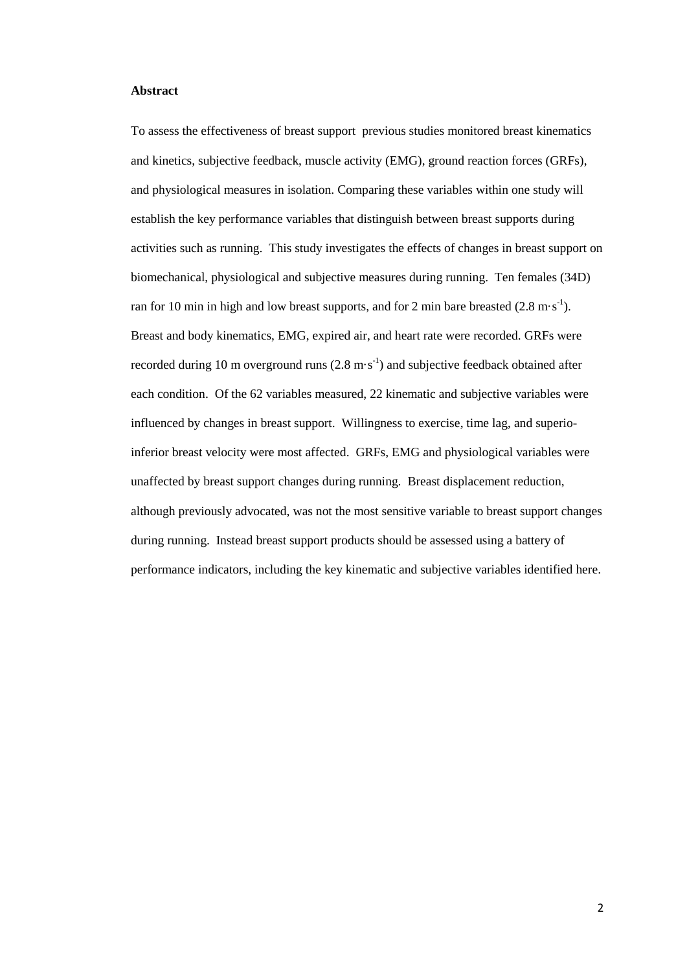#### **Abstract**

To assess the effectiveness of breast support previous studies monitored breast kinematics and kinetics, subjective feedback, muscle activity (EMG), ground reaction forces (GRFs), and physiological measures in isolation. Comparing these variables within one study will establish the key performance variables that distinguish between breast supports during activities such as running. This study investigates the effects of changes in breast support on biomechanical, physiological and subjective measures during running. Ten females (34D) ran for 10 min in high and low breast supports, and for 2 min bare breasted  $(2.8 \text{ m} \cdot \text{s}^{-1})$ . Breast and body kinematics, EMG, expired air, and heart rate were recorded. GRFs were recorded during 10 m overground runs  $(2.8 \text{ m} \cdot \text{s}^{-1})$  and subjective feedback obtained after each condition. Of the 62 variables measured, 22 kinematic and subjective variables were influenced by changes in breast support. Willingness to exercise, time lag, and superioinferior breast velocity were most affected. GRFs, EMG and physiological variables were unaffected by breast support changes during running. Breast displacement reduction, although previously advocated, was not the most sensitive variable to breast support changes during running. Instead breast support products should be assessed using a battery of performance indicators, including the key kinematic and subjective variables identified here.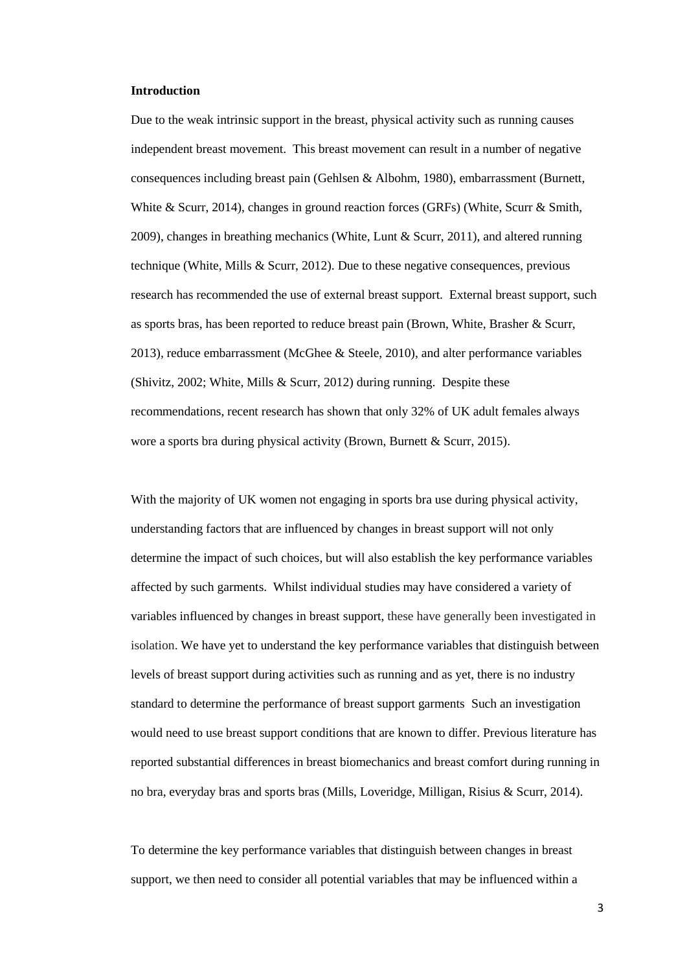#### **Introduction**

Due to the weak intrinsic support in the breast, physical activity such as running causes independent breast movement. This breast movement can result in a number of negative consequences including breast pain (Gehlsen & Albohm, 1980), embarrassment (Burnett, White & Scurr, 2014), changes in ground reaction forces (GRFs) (White, Scurr & Smith, 2009), changes in breathing mechanics (White, Lunt & Scurr, 2011), and altered running technique (White, Mills & Scurr, 2012). Due to these negative consequences, previous research has recommended the use of external breast support. External breast support, such as sports bras, has been reported to reduce breast pain (Brown, White, Brasher & Scurr, 2013), reduce embarrassment (McGhee & Steele, 2010), and alter performance variables (Shivitz, 2002; White, Mills & Scurr, 2012) during running. Despite these recommendations, recent research has shown that only 32% of UK adult females always wore a sports bra during physical activity (Brown, Burnett & Scurr, 2015).

With the majority of UK women not engaging in sports bra use during physical activity, understanding factors that are influenced by changes in breast support will not only determine the impact of such choices, but will also establish the key performance variables affected by such garments. Whilst individual studies may have considered a variety of variables influenced by changes in breast support, these have generally been investigated in isolation. We have yet to understand the key performance variables that distinguish between levels of breast support during activities such as running and as yet, there is no industry standard to determine the performance of breast support garments Such an investigation would need to use breast support conditions that are known to differ. Previous literature has reported substantial differences in breast biomechanics and breast comfort during running in no bra, everyday bras and sports bras (Mills, Loveridge, Milligan, Risius & Scurr, 2014).

To determine the key performance variables that distinguish between changes in breast support, we then need to consider all potential variables that may be influenced within a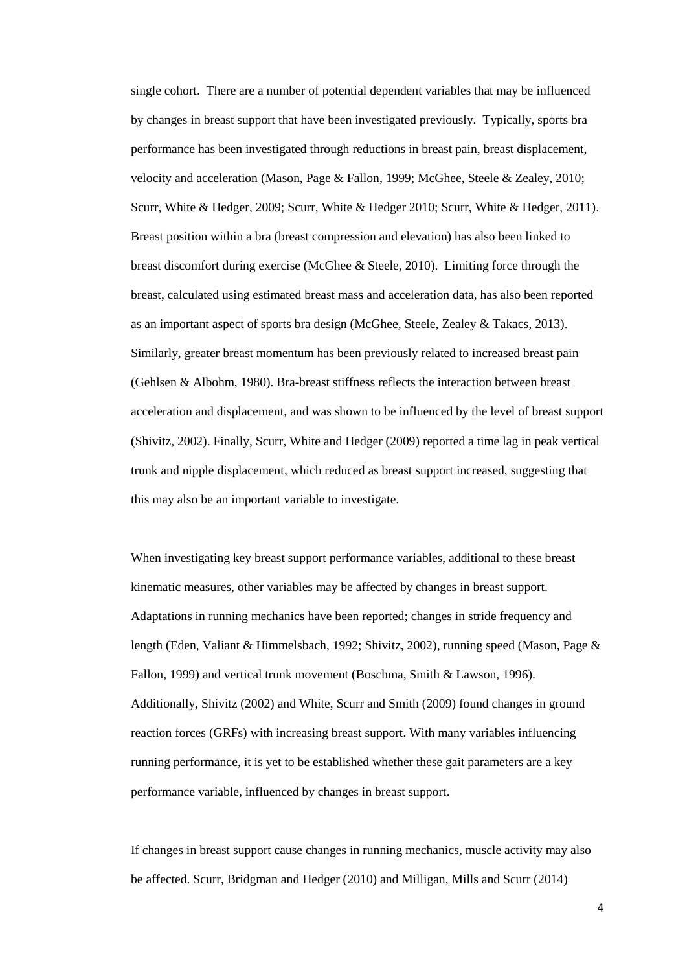single cohort. There are a number of potential dependent variables that may be influenced by changes in breast support that have been investigated previously. Typically, sports bra performance has been investigated through reductions in breast pain, breast displacement, velocity and acceleration (Mason, Page & Fallon, 1999; McGhee, Steele & Zealey, 2010; Scurr, White & Hedger, 2009; Scurr, White & Hedger 2010; Scurr, White & Hedger, 2011). Breast position within a bra (breast compression and elevation) has also been linked to breast discomfort during exercise (McGhee & Steele, 2010). Limiting force through the breast, calculated using estimated breast mass and acceleration data, has also been reported as an important aspect of sports bra design (McGhee, Steele, Zealey & Takacs, 2013). Similarly, greater breast momentum has been previously related to increased breast pain (Gehlsen & Albohm, 1980). Bra-breast stiffness reflects the interaction between breast acceleration and displacement, and was shown to be influenced by the level of breast support (Shivitz, 2002). Finally, Scurr, White and Hedger (2009) reported a time lag in peak vertical trunk and nipple displacement, which reduced as breast support increased, suggesting that this may also be an important variable to investigate.

When investigating key breast support performance variables, additional to these breast kinematic measures, other variables may be affected by changes in breast support. Adaptations in running mechanics have been reported; changes in stride frequency and length (Eden, Valiant & Himmelsbach, 1992; Shivitz, 2002), running speed (Mason, Page & Fallon, 1999) and vertical trunk movement (Boschma, Smith & Lawson, 1996). Additionally, Shivitz (2002) and White, Scurr and Smith (2009) found changes in ground reaction forces (GRFs) with increasing breast support. With many variables influencing running performance, it is yet to be established whether these gait parameters are a key performance variable, influenced by changes in breast support.

If changes in breast support cause changes in running mechanics, muscle activity may also be affected. Scurr, Bridgman and Hedger (2010) and Milligan, Mills and Scurr (2014)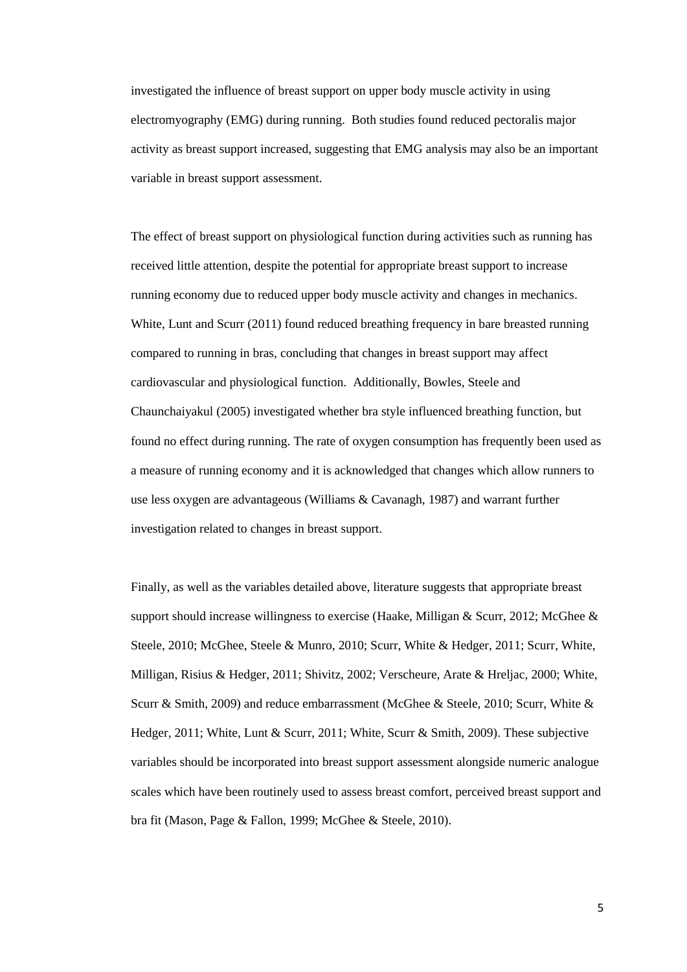investigated the influence of breast support on upper body muscle activity in using electromyography (EMG) during running. Both studies found reduced pectoralis major activity as breast support increased, suggesting that EMG analysis may also be an important variable in breast support assessment.

The effect of breast support on physiological function during activities such as running has received little attention, despite the potential for appropriate breast support to increase running economy due to reduced upper body muscle activity and changes in mechanics. White, Lunt and Scurr (2011) found reduced breathing frequency in bare breasted running compared to running in bras, concluding that changes in breast support may affect cardiovascular and physiological function. Additionally, Bowles, Steele and Chaunchaiyakul (2005) investigated whether bra style influenced breathing function, but found no effect during running. The rate of oxygen consumption has frequently been used as a measure of running economy and it is acknowledged that changes which allow runners to use less oxygen are advantageous (Williams & Cavanagh, 1987) and warrant further investigation related to changes in breast support.

Finally, as well as the variables detailed above, literature suggests that appropriate breast support should increase willingness to exercise (Haake, Milligan & Scurr, 2012; McGhee & Steele, 2010; McGhee, Steele & Munro, 2010; Scurr, White & Hedger, 2011; Scurr, White, Milligan, Risius & Hedger, 2011; Shivitz, 2002; Verscheure, Arate & Hreljac, 2000; White, Scurr & Smith, 2009) and reduce embarrassment (McGhee & Steele, 2010; Scurr, White & Hedger, 2011; White, Lunt & Scurr, 2011; White, Scurr & Smith, 2009). These subjective variables should be incorporated into breast support assessment alongside numeric analogue scales which have been routinely used to assess breast comfort, perceived breast support and bra fit (Mason, Page & Fallon, 1999; McGhee & Steele, 2010).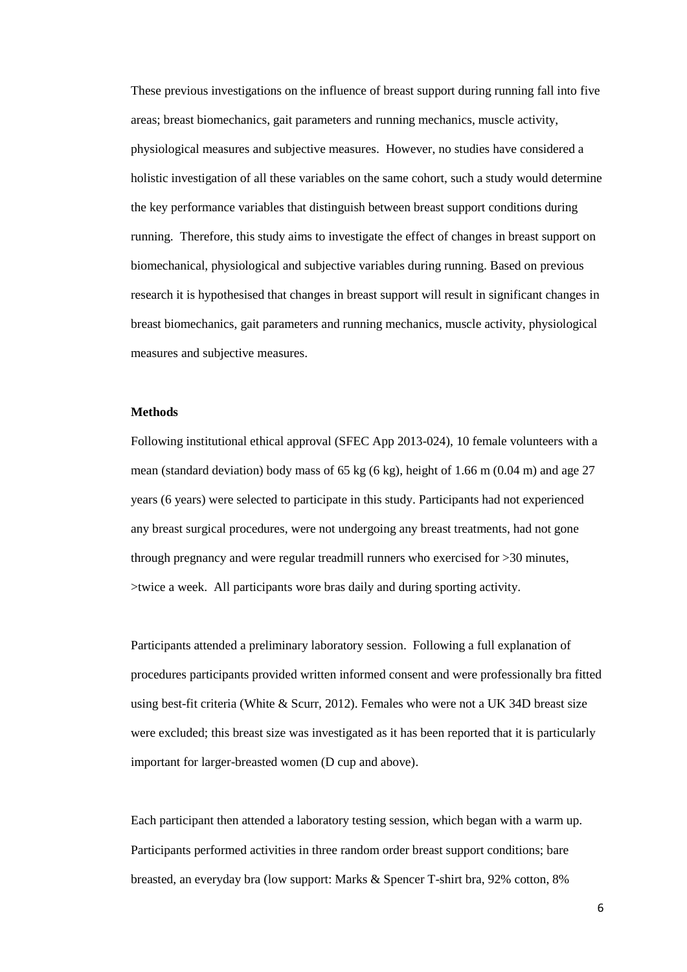These previous investigations on the influence of breast support during running fall into five areas; breast biomechanics, gait parameters and running mechanics, muscle activity, physiological measures and subjective measures. However, no studies have considered a holistic investigation of all these variables on the same cohort, such a study would determine the key performance variables that distinguish between breast support conditions during running. Therefore, this study aims to investigate the effect of changes in breast support on biomechanical, physiological and subjective variables during running. Based on previous research it is hypothesised that changes in breast support will result in significant changes in breast biomechanics, gait parameters and running mechanics, muscle activity, physiological measures and subjective measures.

## **Methods**

Following institutional ethical approval (SFEC App 2013-024), 10 female volunteers with a mean (standard deviation) body mass of 65 kg (6 kg), height of 1.66 m (0.04 m) and age 27 years (6 years) were selected to participate in this study. Participants had not experienced any breast surgical procedures, were not undergoing any breast treatments, had not gone through pregnancy and were regular treadmill runners who exercised for >30 minutes, >twice a week. All participants wore bras daily and during sporting activity.

Participants attended a preliminary laboratory session. Following a full explanation of procedures participants provided written informed consent and were professionally bra fitted using best-fit criteria (White & Scurr, 2012). Females who were not a UK 34D breast size were excluded; this breast size was investigated as it has been reported that it is particularly important for larger-breasted women (D cup and above).

Each participant then attended a laboratory testing session, which began with a warm up. Participants performed activities in three random order breast support conditions; bare breasted, an everyday bra (low support: Marks & Spencer T-shirt bra, 92% cotton, 8%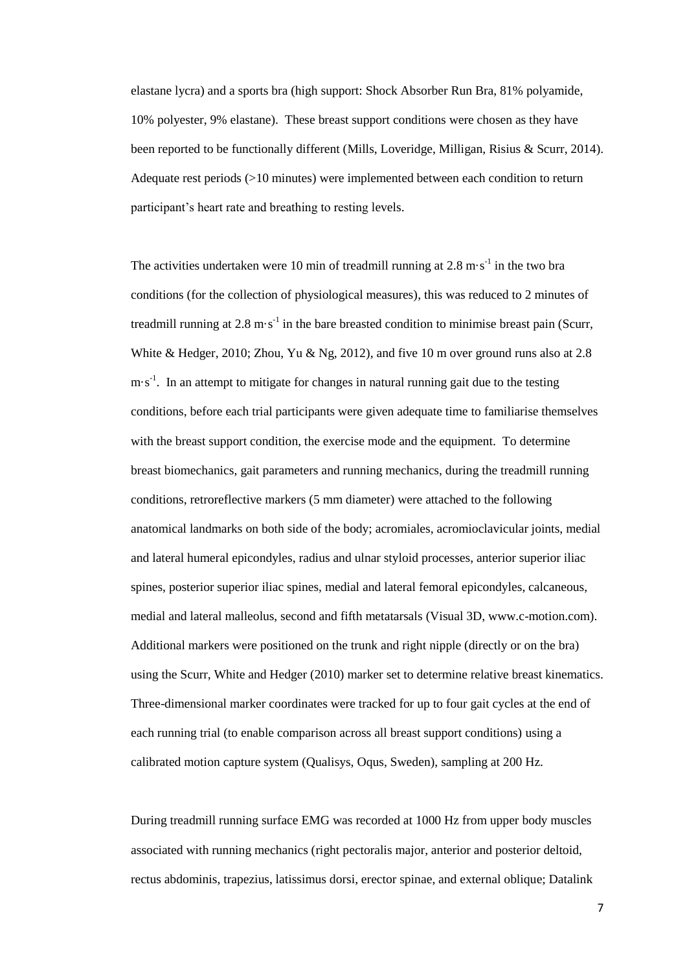elastane lycra) and a sports bra (high support: Shock Absorber Run Bra, 81% polyamide, 10% polyester, 9% elastane). These breast support conditions were chosen as they have been reported to be functionally different (Mills, Loveridge, Milligan, Risius & Scurr, 2014). Adequate rest periods (>10 minutes) were implemented between each condition to return participant's heart rate and breathing to resting levels.

The activities undertaken were 10 min of treadmill running at  $2.8 \text{ m} \cdot \text{s}^{-1}$  in the two bra conditions (for the collection of physiological measures), this was reduced to 2 minutes of treadmill running at  $2.8 \text{ m} \cdot \text{s}^{-1}$  in the bare breasted condition to minimise breast pain (Scurr, White & Hedger, 2010; Zhou, Yu & Ng, 2012), and five 10 m over ground runs also at 2.8  $m \cdot s^{-1}$ . In an attempt to mitigate for changes in natural running gait due to the testing conditions, before each trial participants were given adequate time to familiarise themselves with the breast support condition, the exercise mode and the equipment. To determine breast biomechanics, gait parameters and running mechanics, during the treadmill running conditions, retroreflective markers (5 mm diameter) were attached to the following anatomical landmarks on both side of the body; acromiales, acromioclavicular joints, medial and lateral humeral epicondyles, radius and ulnar styloid processes, anterior superior iliac spines, posterior superior iliac spines, medial and lateral femoral epicondyles, calcaneous, medial and lateral malleolus, second and fifth metatarsals (Visual 3D, www.c-motion.com). Additional markers were positioned on the trunk and right nipple (directly or on the bra) using the Scurr, White and Hedger (2010) marker set to determine relative breast kinematics. Three-dimensional marker coordinates were tracked for up to four gait cycles at the end of each running trial (to enable comparison across all breast support conditions) using a calibrated motion capture system (Qualisys, Oqus, Sweden), sampling at 200 Hz.

During treadmill running surface EMG was recorded at 1000 Hz from upper body muscles associated with running mechanics (right pectoralis major, anterior and posterior deltoid, rectus abdominis, trapezius, latissimus dorsi, erector spinae, and external oblique; Datalink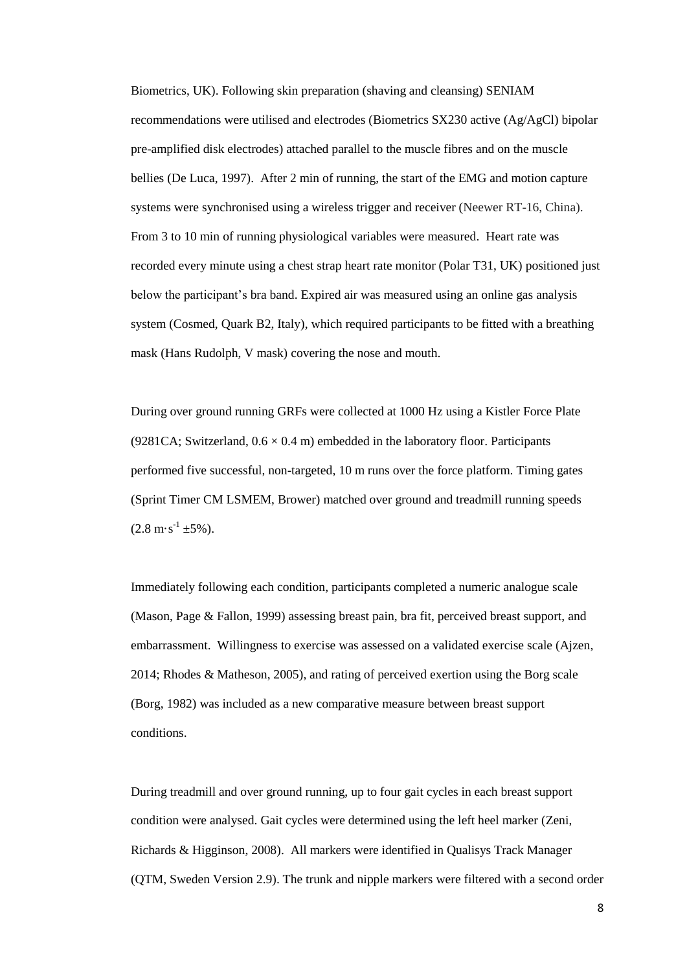Biometrics, UK). Following skin preparation (shaving and cleansing) SENIAM recommendations were utilised and electrodes (Biometrics SX230 active (Ag/AgCl) bipolar pre-amplified disk electrodes) attached parallel to the muscle fibres and on the muscle bellies (De Luca, 1997). After 2 min of running, the start of the EMG and motion capture systems were synchronised using a wireless trigger and receiver (Neewer RT-16, China). From 3 to 10 min of running physiological variables were measured. Heart rate was recorded every minute using a chest strap heart rate monitor (Polar T31, UK) positioned just below the participant's bra band. Expired air was measured using an online gas analysis system (Cosmed, Quark B2, Italy), which required participants to be fitted with a breathing mask (Hans Rudolph, V mask) covering the nose and mouth.

During over ground running GRFs were collected at 1000 Hz using a Kistler Force Plate (9281CA; Switzerland,  $0.6 \times 0.4$  m) embedded in the laboratory floor. Participants performed five successful, non-targeted, 10 m runs over the force platform. Timing gates (Sprint Timer CM LSMEM, Brower) matched over ground and treadmill running speeds  $(2.8 \text{ m} \cdot \text{s}^{-1} \pm 5\%)$ .

Immediately following each condition, participants completed a numeric analogue scale (Mason, Page & Fallon, 1999) assessing breast pain, bra fit, perceived breast support, and embarrassment. Willingness to exercise was assessed on a validated exercise scale (Ajzen, 2014; Rhodes & Matheson, 2005), and rating of perceived exertion using the Borg scale (Borg, 1982) was included as a new comparative measure between breast support conditions.

During treadmill and over ground running, up to four gait cycles in each breast support condition were analysed. Gait cycles were determined using the left heel marker (Zeni, Richards & Higginson, 2008). All markers were identified in Qualisys Track Manager (QTM, Sweden Version 2.9). The trunk and nipple markers were filtered with a second order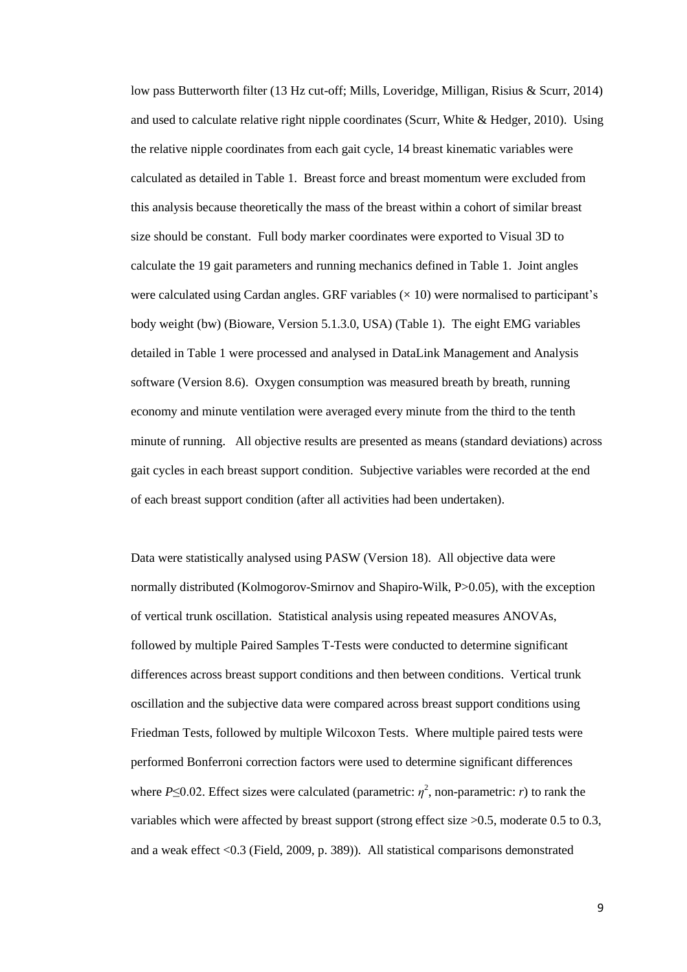low pass Butterworth filter (13 Hz cut-off; Mills, Loveridge, Milligan, Risius & Scurr, 2014) and used to calculate relative right nipple coordinates (Scurr, White & Hedger, 2010). Using the relative nipple coordinates from each gait cycle, 14 breast kinematic variables were calculated as detailed in Table 1. Breast force and breast momentum were excluded from this analysis because theoretically the mass of the breast within a cohort of similar breast size should be constant. Full body marker coordinates were exported to Visual 3D to calculate the 19 gait parameters and running mechanics defined in Table 1. Joint angles were calculated using Cardan angles. GRF variables  $(\times 10)$  were normalised to participant's body weight (bw) (Bioware, Version 5.1.3.0, USA) (Table 1). The eight EMG variables detailed in Table 1 were processed and analysed in DataLink Management and Analysis software (Version 8.6). Oxygen consumption was measured breath by breath, running economy and minute ventilation were averaged every minute from the third to the tenth minute of running. All objective results are presented as means (standard deviations) across gait cycles in each breast support condition. Subjective variables were recorded at the end of each breast support condition (after all activities had been undertaken).

Data were statistically analysed using PASW (Version 18). All objective data were normally distributed (Kolmogorov-Smirnov and Shapiro-Wilk, P>0.05), with the exception of vertical trunk oscillation. Statistical analysis using repeated measures ANOVAs, followed by multiple Paired Samples T-Tests were conducted to determine significant differences across breast support conditions and then between conditions. Vertical trunk oscillation and the subjective data were compared across breast support conditions using Friedman Tests, followed by multiple Wilcoxon Tests. Where multiple paired tests were performed Bonferroni correction factors were used to determine significant differences where  $P \le 0.02$ . Effect sizes were calculated (parametric:  $\eta^2$ , non-parametric: *r*) to rank the variables which were affected by breast support (strong effect size >0.5, moderate 0.5 to 0.3, and a weak effect <0.3 (Field, 2009, p. 389)). All statistical comparisons demonstrated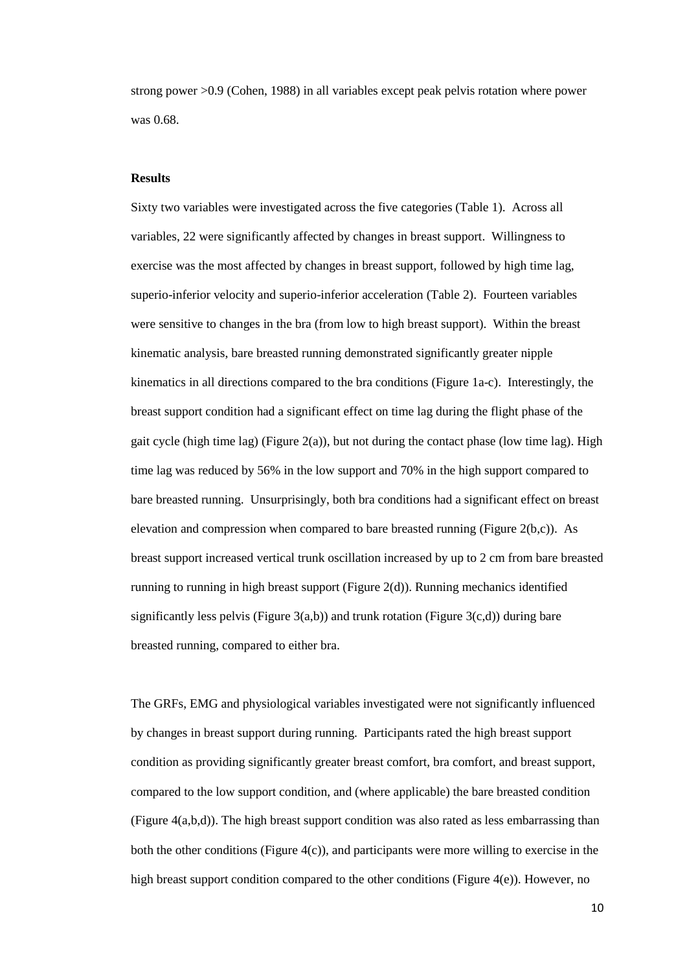strong power >0.9 (Cohen, 1988) in all variables except peak pelvis rotation where power was 0.68.

#### **Results**

Sixty two variables were investigated across the five categories (Table 1). Across all variables, 22 were significantly affected by changes in breast support. Willingness to exercise was the most affected by changes in breast support, followed by high time lag, superio-inferior velocity and superio-inferior acceleration (Table 2). Fourteen variables were sensitive to changes in the bra (from low to high breast support). Within the breast kinematic analysis, bare breasted running demonstrated significantly greater nipple kinematics in all directions compared to the bra conditions (Figure 1a-c). Interestingly, the breast support condition had a significant effect on time lag during the flight phase of the gait cycle (high time lag) (Figure 2(a)), but not during the contact phase (low time lag). High time lag was reduced by 56% in the low support and 70% in the high support compared to bare breasted running. Unsurprisingly, both bra conditions had a significant effect on breast elevation and compression when compared to bare breasted running (Figure 2(b,c)). As breast support increased vertical trunk oscillation increased by up to 2 cm from bare breasted running to running in high breast support (Figure 2(d)). Running mechanics identified significantly less pelvis (Figure  $3(a,b)$ ) and trunk rotation (Figure  $3(c,d)$ ) during bare breasted running, compared to either bra.

The GRFs, EMG and physiological variables investigated were not significantly influenced by changes in breast support during running. Participants rated the high breast support condition as providing significantly greater breast comfort, bra comfort, and breast support, compared to the low support condition, and (where applicable) the bare breasted condition (Figure 4(a,b,d)). The high breast support condition was also rated as less embarrassing than both the other conditions (Figure 4(c)), and participants were more willing to exercise in the high breast support condition compared to the other conditions (Figure 4(e)). However, no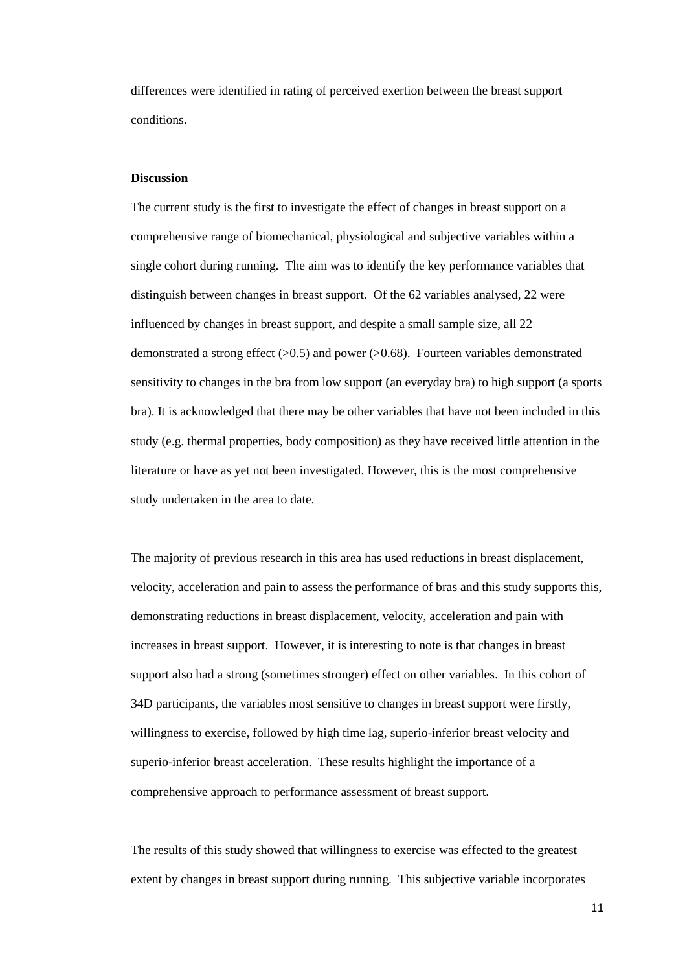differences were identified in rating of perceived exertion between the breast support conditions.

#### **Discussion**

The current study is the first to investigate the effect of changes in breast support on a comprehensive range of biomechanical, physiological and subjective variables within a single cohort during running. The aim was to identify the key performance variables that distinguish between changes in breast support. Of the 62 variables analysed, 22 were influenced by changes in breast support, and despite a small sample size, all 22 demonstrated a strong effect  $(>0.5)$  and power  $(>0.68)$ . Fourteen variables demonstrated sensitivity to changes in the bra from low support (an everyday bra) to high support (a sports bra). It is acknowledged that there may be other variables that have not been included in this study (e.g. thermal properties, body composition) as they have received little attention in the literature or have as yet not been investigated. However, this is the most comprehensive study undertaken in the area to date.

The majority of previous research in this area has used reductions in breast displacement, velocity, acceleration and pain to assess the performance of bras and this study supports this, demonstrating reductions in breast displacement, velocity, acceleration and pain with increases in breast support. However, it is interesting to note is that changes in breast support also had a strong (sometimes stronger) effect on other variables. In this cohort of 34D participants, the variables most sensitive to changes in breast support were firstly, willingness to exercise, followed by high time lag, superio-inferior breast velocity and superio-inferior breast acceleration. These results highlight the importance of a comprehensive approach to performance assessment of breast support.

The results of this study showed that willingness to exercise was effected to the greatest extent by changes in breast support during running. This subjective variable incorporates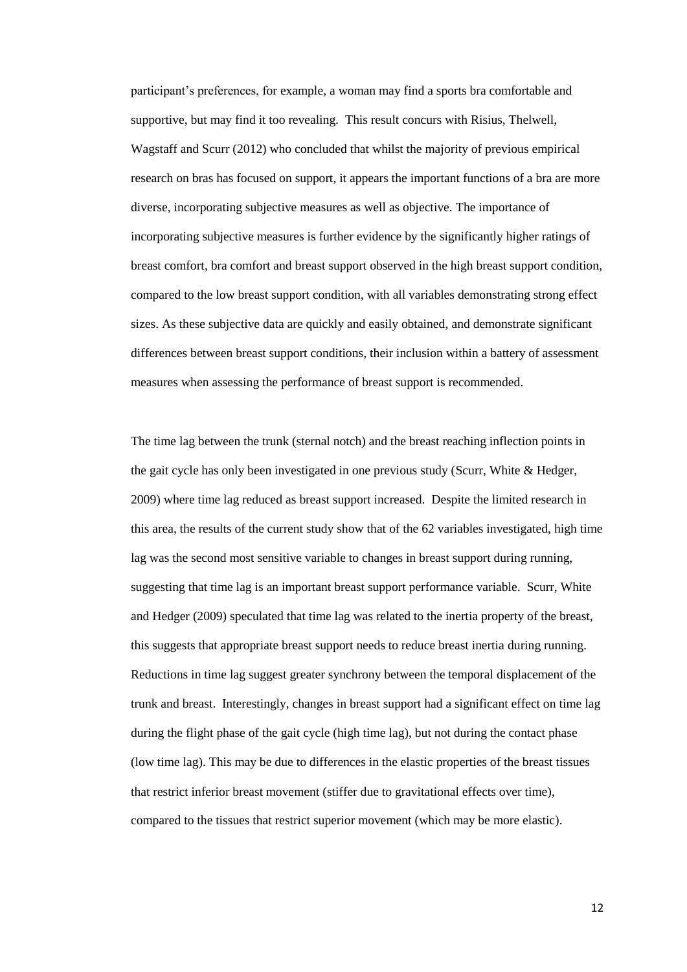participant's preferences, for example, a woman may find a sports bra comfortable and supportive, but may find it too revealing. This result concurs with Risius, Thelwell, Wagstaff and Scurr (2012) who concluded that whilst the majority of previous empirical research on bras has focused on support, it appears the important functions of a bra are more diverse, incorporating subjective measures as well as objective. The importance of incorporating subjective measures is further evidence by the significantly higher ratings of breast comfort, bra comfort and breast support observed in the high breast support condition, compared to the low breast support condition, with all variables demonstrating strong effect sizes. As these subjective data are quickly and easily obtained, and demonstrate significant differences between breast support conditions, their inclusion within a battery of assessment measures when assessing the performance of breast support is recommended.

The time lag between the trunk (sternal notch) and the breast reaching inflection points in the gait cycle has only been investigated in one previous study (Scurr, White & Hedger, 2009) where time lag reduced as breast support increased. Despite the limited research in this area, the results of the current study show that of the 62 variables investigated, high time lag was the second most sensitive variable to changes in breast support during running, suggesting that time lag is an important breast support performance variable. Scurr, White and Hedger (2009) speculated that time lag was related to the inertia property of the breast, this suggests that appropriate breast support needs to reduce breast inertia during running. Reductions in time lag suggest greater synchrony between the temporal displacement of the trunk and breast. Interestingly, changes in breast support had a significant effect on time lag during the flight phase of the gait cycle (high time lag), but not during the contact phase (low time lag). This may be due to differences in the elastic properties of the breast tissues that restrict inferior breast movement (stiffer due to gravitational effects over time), compared to the tissues that restrict superior movement (which may be more elastic).

12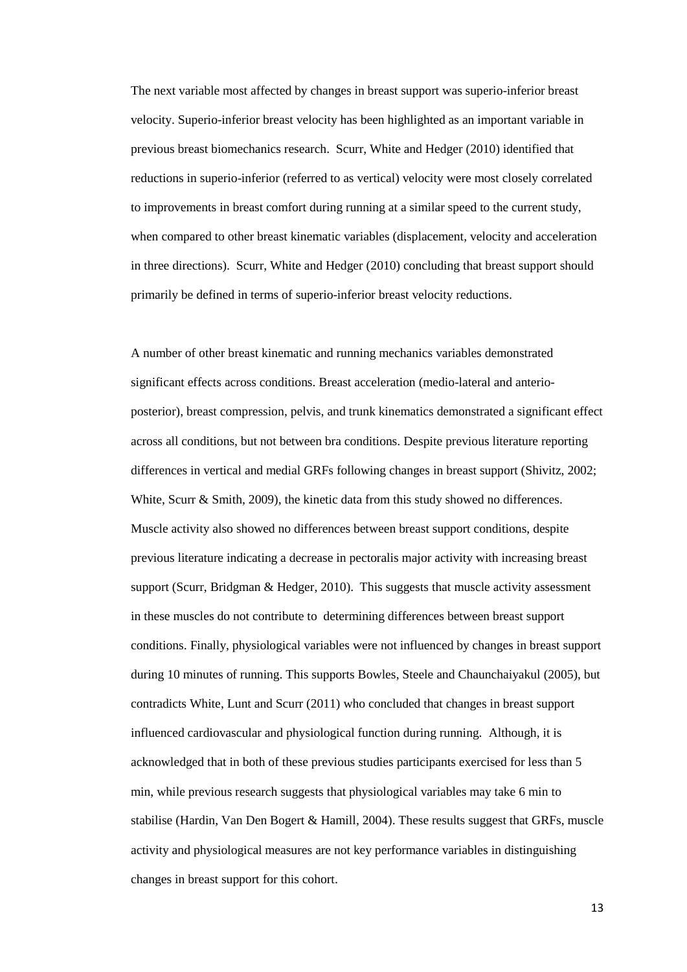The next variable most affected by changes in breast support was superio-inferior breast velocity. Superio-inferior breast velocity has been highlighted as an important variable in previous breast biomechanics research. Scurr, White and Hedger (2010) identified that reductions in superio-inferior (referred to as vertical) velocity were most closely correlated to improvements in breast comfort during running at a similar speed to the current study, when compared to other breast kinematic variables (displacement, velocity and acceleration in three directions). Scurr, White and Hedger (2010) concluding that breast support should primarily be defined in terms of superio-inferior breast velocity reductions.

A number of other breast kinematic and running mechanics variables demonstrated significant effects across conditions. Breast acceleration (medio-lateral and anterioposterior), breast compression, pelvis, and trunk kinematics demonstrated a significant effect across all conditions, but not between bra conditions. Despite previous literature reporting differences in vertical and medial GRFs following changes in breast support (Shivitz, 2002; White, Scurr & Smith, 2009), the kinetic data from this study showed no differences. Muscle activity also showed no differences between breast support conditions, despite previous literature indicating a decrease in pectoralis major activity with increasing breast support (Scurr, Bridgman & Hedger, 2010). This suggests that muscle activity assessment in these muscles do not contribute to determining differences between breast support conditions. Finally, physiological variables were not influenced by changes in breast support during 10 minutes of running. This supports Bowles, Steele and Chaunchaiyakul (2005), but contradicts White, Lunt and Scurr (2011) who concluded that changes in breast support influenced cardiovascular and physiological function during running. Although, it is acknowledged that in both of these previous studies participants exercised for less than 5 min, while previous research suggests that physiological variables may take 6 min to stabilise (Hardin, Van Den Bogert & Hamill, 2004). These results suggest that GRFs, muscle activity and physiological measures are not key performance variables in distinguishing changes in breast support for this cohort.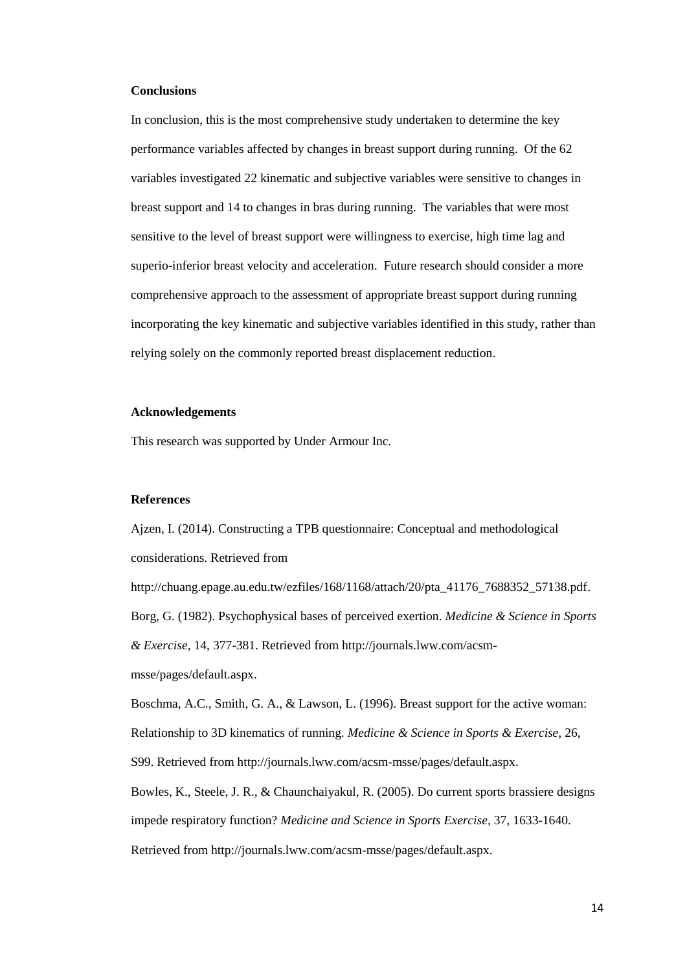## **Conclusions**

In conclusion, this is the most comprehensive study undertaken to determine the key performance variables affected by changes in breast support during running. Of the 62 variables investigated 22 kinematic and subjective variables were sensitive to changes in breast support and 14 to changes in bras during running. The variables that were most sensitive to the level of breast support were willingness to exercise, high time lag and superio-inferior breast velocity and acceleration. Future research should consider a more comprehensive approach to the assessment of appropriate breast support during running incorporating the key kinematic and subjective variables identified in this study, rather than relying solely on the commonly reported breast displacement reduction.

### **Acknowledgements**

This research was supported by Under Armour Inc.

## **References**

Ajzen, I. (2014). Constructing a TPB questionnaire: Conceptual and methodological considerations. Retrieved from

http://chuang.epage.au.edu.tw/ezfiles/168/1168/attach/20/pta\_41176\_7688352\_57138.pdf. Borg, G. (1982). Psychophysical bases of perceived exertion. *Medicine & Science in Sports & Exercise,* 14, 377-381. Retrieved from http://journals.lww.com/acsmmsse/pages/default.aspx.

Boschma, A.C., Smith, G. A., & Lawson, L. (1996). Breast support for the active woman: Relationship to 3D kinematics of running. *Medicine & Science in Sports & Exercise,* 26,

S99. Retrieved from http://journals.lww.com/acsm-msse/pages/default.aspx.

Bowles, K., Steele, J. R., & Chaunchaiyakul, R. (2005). Do current sports brassiere designs impede respiratory function? *Medicine and Science in Sports Exercise,* 37, 1633-1640.

Retrieved from http://journals.lww.com/acsm-msse/pages/default.aspx.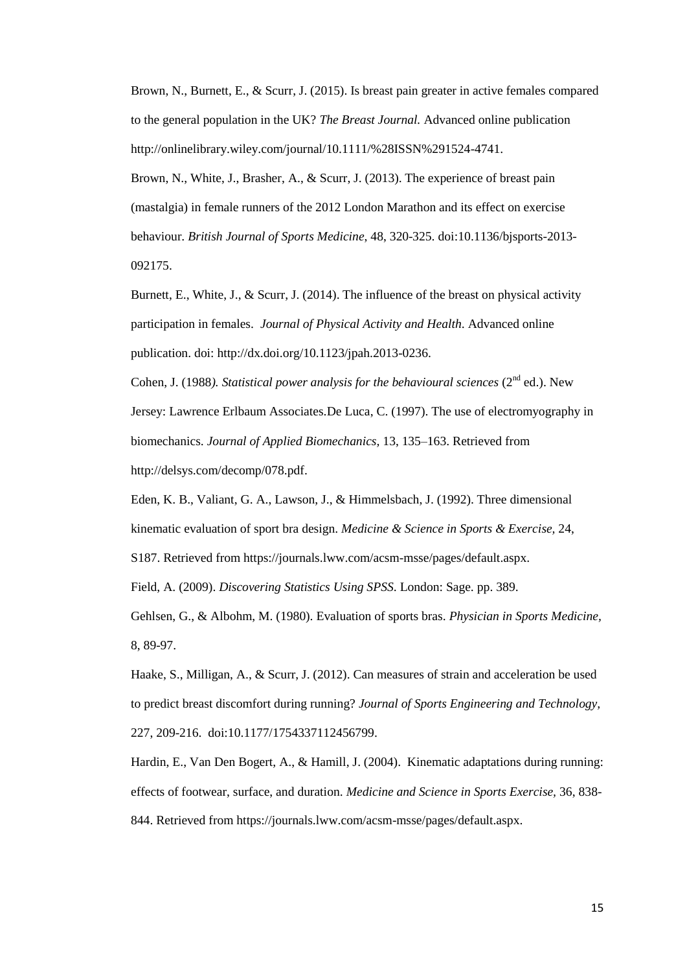Brown, N., Burnett, E., & Scurr, J. (2015). Is breast pain greater in active females compared to the general population in the UK? *The Breast Journal.* Advanced online publication http://onlinelibrary.wiley.com/journal/10.1111/%28ISSN%291524-4741.

Brown, N., White, J., Brasher, A., & Scurr, J. (2013). The experience of breast pain (mastalgia) in female runners of the 2012 London Marathon and its effect on exercise behaviour. *British Journal of Sports Medicine*, 48, 320-325. doi:10.1136/bjsports-2013- 092175.

Burnett, E., White, J., & Scurr, J. (2014). The influence of the breast on physical activity participation in females. *Journal of Physical Activity and Health*. Advanced online publication. doi: [http://dx.doi.org/10.1123/jpah.2013-0236.](http://dx.doi.org/10.1123/jpah.2013-0236)

Cohen, J. (1988). Statistical power analysis for the behavioural sciences ( $2<sup>nd</sup>$  ed.). New Jersey: Lawrence Erlbaum Associates.De Luca, C. (1997). The use of electromyography in biomechanics. *Journal of Applied Biomechanics,* 13, 135–163. Retrieved from http://delsys.com/decomp/078.pdf.

Eden, K. B., Valiant, G. A., Lawson, J., & Himmelsbach, J. (1992). Three dimensional kinematic evaluation of sport bra design. *Medicine & Science in Sports & Exercise,* 24,

S187. Retrieved from https://journals.lww.com/acsm-msse/pages/default.aspx.

Field, A. (2009). *Discovering Statistics Using SPSS*. London: Sage. pp. 389.

Gehlsen, G., & Albohm, M. (1980). Evaluation of sports bras. *Physician in Sports Medicine,* 8, 89-97.

Haake, S., Milligan, A., & Scurr, J. (2012). Can measures of strain and acceleration be used to predict breast discomfort during running? *Journal of Sports Engineering and Technology,* 227, 209-216.doi:10.1177/1754337112456799.

Hardin, E., Van Den Bogert, A., & Hamill, J. (2004). Kinematic adaptations during running: effects of footwear, surface, and duration. *Medicine and Science in Sports Exercise,* 36, 838- 844. Retrieved from https://journals.lww.com/acsm-msse/pages/default.aspx.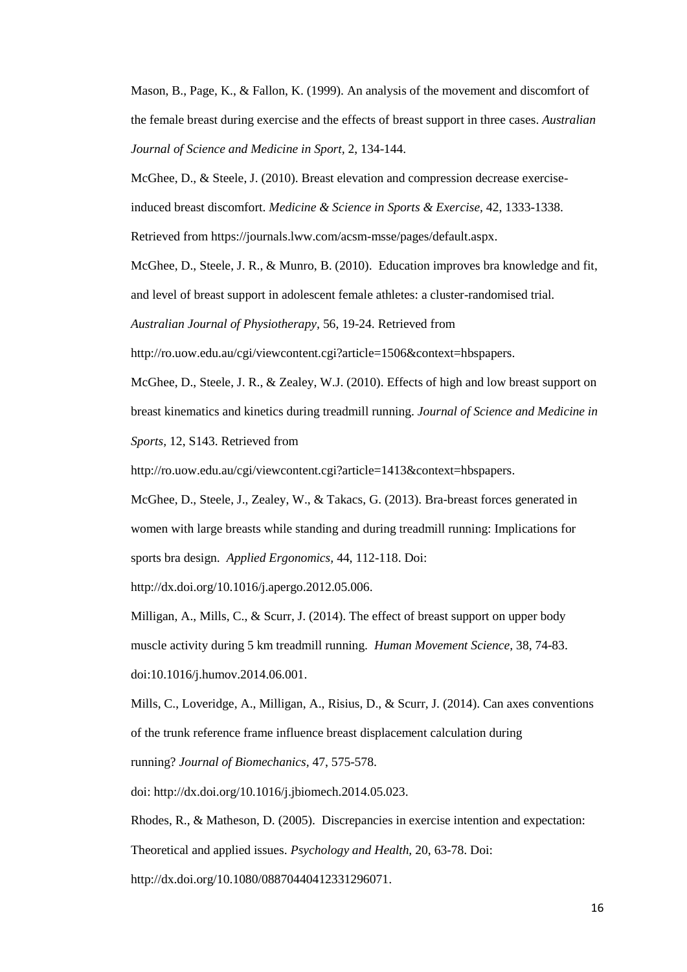Mason, B., Page, K., & Fallon, K. (1999). An analysis of the movement and discomfort of the female breast during exercise and the effects of breast support in three cases. *Australian Journal of Science and Medicine in Sport,* 2, 134-144.

McGhee, D., & Steele, J. (2010). Breast elevation and compression decrease exercise-

induced breast discomfort. *Medicine & Science in Sports & Exercise,* 42, 1333-1338.

Retrieved from https://journals.lww.com/acsm-msse/pages/default.aspx.

McGhee, D., Steele, J. R., & Munro, B. (2010). Education improves bra knowledge and fit,

and level of breast support in adolescent female athletes: a cluster-randomised trial.

*Australian Journal of Physiotherapy,* 56, 19-24. Retrieved from

http://ro.uow.edu.au/cgi/viewcontent.cgi?article=1506&context=hbspapers.

McGhee, D., Steele, J. R., & Zealey, W.J. (2010). Effects of high and low breast support on breast kinematics and kinetics during treadmill running. *Journal of Science and Medicine in Sports,* 12, S143. Retrieved from

http://ro.uow.edu.au/cgi/viewcontent.cgi?article=1413&context=hbspapers.

McGhee, D., Steele, J., Zealey, W., & Takacs, G. (2013). Bra-breast forces generated in women with large breasts while standing and during treadmill running: Implications for sports bra design. *Applied Ergonomics,* 44, 112-118. Doi:

[http://dx.doi.org/10.1016/j.apergo.2012.05.006.](http://dx.doi.org/10.1016/j.apergo.2012.05.006)

Milligan, A., Mills, C., & Scurr, J. (2014). The effect of breast support on upper body muscle activity during 5 km treadmill running. *Human Movement Science,* 38, 74-83. [doi:10.1016/j.humov.2014.06.001.](http://dx.doi.org/10.1016/j.humov.2014.06.001)

Mills, C., Loveridge, A., Milligan, A., Risius, D., & Scurr, J. (2014). Can axes conventions of the trunk reference frame influence breast displacement calculation during

running? *Journal of Biomechanics,* 47, 575-578.

doi: [http://dx.doi.org/10.1016/j.jbiomech.2014.05.023.](http://dx.doi.org/10.1016/j.jbiomech.2014.05.023)

Rhodes, R., & Matheson, D. (2005). Discrepancies in exercise intention and expectation:

Theoretical and applied issues. *Psychology and Health,* 20, 63-78. Doi:

http://dx.doi.org/10.1080/08870440412331296071.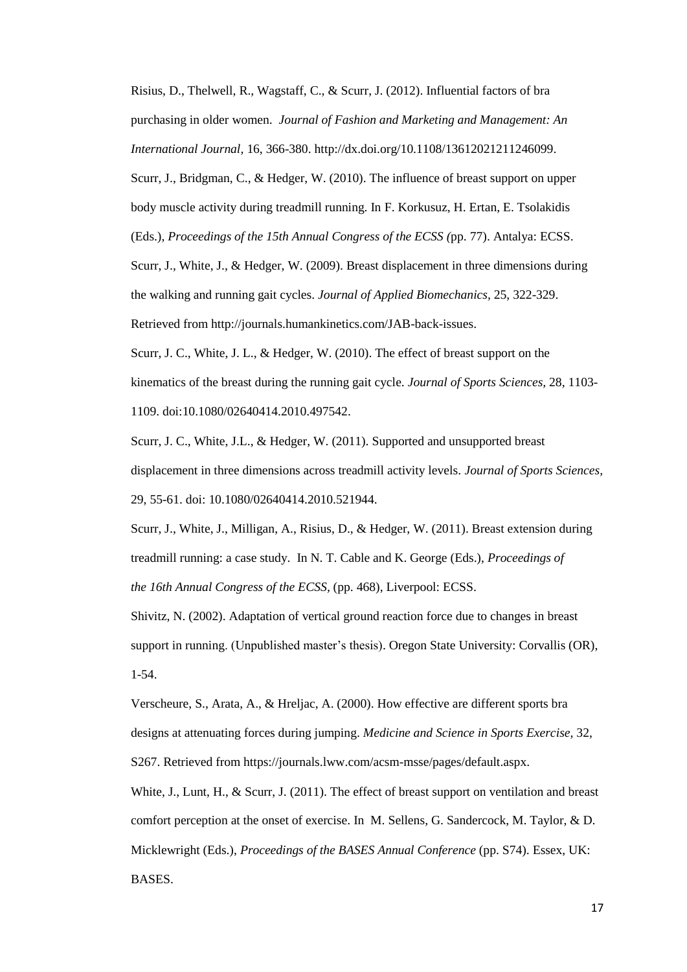Risius, D., Thelwell, R., Wagstaff, C., & Scurr, J. (2012). Influential factors of bra purchasing in older women. *Journal of Fashion and Marketing and Management: An International Journal,* 16, 366-380. [http://dx.doi.org/10.1108/13612021211246099.](http://dx.doi.org/10.1108/13612021211246099) Scurr, J., Bridgman, C., & Hedger, W. (2010). The influence of breast support on upper body muscle activity during treadmill running. In F. Korkusuz, H. Ertan, E. Tsolakidis (Eds.), *Proceedings of the 15th Annual Congress of the ECSS (*pp. 77). Antalya: ECSS. Scurr, J., White, J., & Hedger, W. (2009). Breast displacement in three dimensions during the walking and running gait cycles. *Journal of Applied Biomechanics,* 25, 322-329. Retrieved from http://journals.humankinetics.com/JAB-back-issues.

Scurr, J. C., White, J. L., & Hedger, W. (2010). The effect of breast support on the kinematics of the breast during the running gait cycle. *Journal of Sports Sciences,* 28, 1103- 1109. doi:10.1080/02640414.2010.497542.

Scurr, J. C., White, J.L., & Hedger, W. (2011). Supported and unsupported breast displacement in three dimensions across treadmill activity levels. *Journal of Sports Sciences,*  29, 55-61. doi: 10.1080/02640414.2010.521944.

Scurr, J., White, J., Milligan, A., Risius, D., & Hedger, W. (2011). Breast extension during treadmill running: a case study. In N. T. Cable and K. George (Eds.), *Proceedings of the 16th Annual Congress of the ECSS,* (pp. 468), Liverpool: ECSS.

Shivitz, N. (2002). Adaptation of vertical ground reaction force due to changes in breast support in running. (Unpublished master's thesis). Oregon State University: Corvallis (OR), 1-54.

Verscheure, S., Arata, A., & Hreljac, A. (2000). How effective are different sports bra designs at attenuating forces during jumping. *Medicine and Science in Sports Exercise,* 32, S267. Retrieved from https://journals.lww.com/acsm-msse/pages/default.aspx.

White, J., Lunt, H., & Scurr, J. (2011). The effect of breast support on ventilation and breast comfort perception at the onset of exercise. In M. Sellens, G. Sandercock, M. Taylor, & D. Micklewright (Eds.), *Proceedings of the BASES Annual Conference* (pp. S74). Essex, UK: BASES.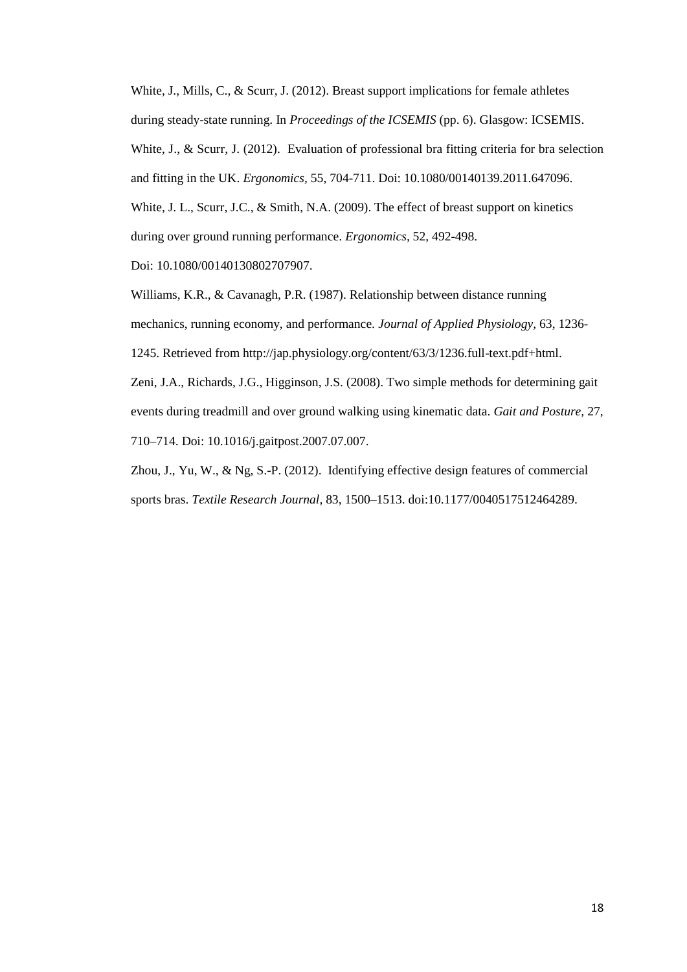White, J., Mills, C., & Scurr, J. (2012). Breast support implications for female athletes during steady-state running. In *Proceedings of the ICSEMIS* (pp. 6). Glasgow: ICSEMIS. White, J., & Scurr, J. (2012). Evaluation of professional bra fitting criteria for bra selection and fitting in the UK. *Ergonomics,* 55, 704-711. Doi: 10.1080/00140139.2011.647096. White, J. L., Scurr, J.C., & Smith, N.A. (2009). The effect of breast support on kinetics during over ground running performance. *Ergonomics,* 52, 492-498.

Doi: 10.1080/00140130802707907.

Williams, K.R., & Cavanagh, P.R. (1987). Relationship between distance running mechanics, running economy, and performance. *Journal of Applied Physiology,* 63, 1236- 1245. Retrieved from http://jap.physiology.org/content/63/3/1236.full-text.pdf+html. Zeni, J.A., Richards, J.G., Higginson, J.S. (2008). Two simple methods for determining gait events during treadmill and over ground walking using kinematic data. *Gait and Posture,* 27,

710–714. Doi: 10.1016/j.gaitpost.2007.07.007.

Zhou, J., Yu, W., & Ng, S.-P. (2012). Identifying effective design features of commercial sports bras. *Textile Research Journal,* 83, 1500–1513. doi:10.1177/0040517512464289.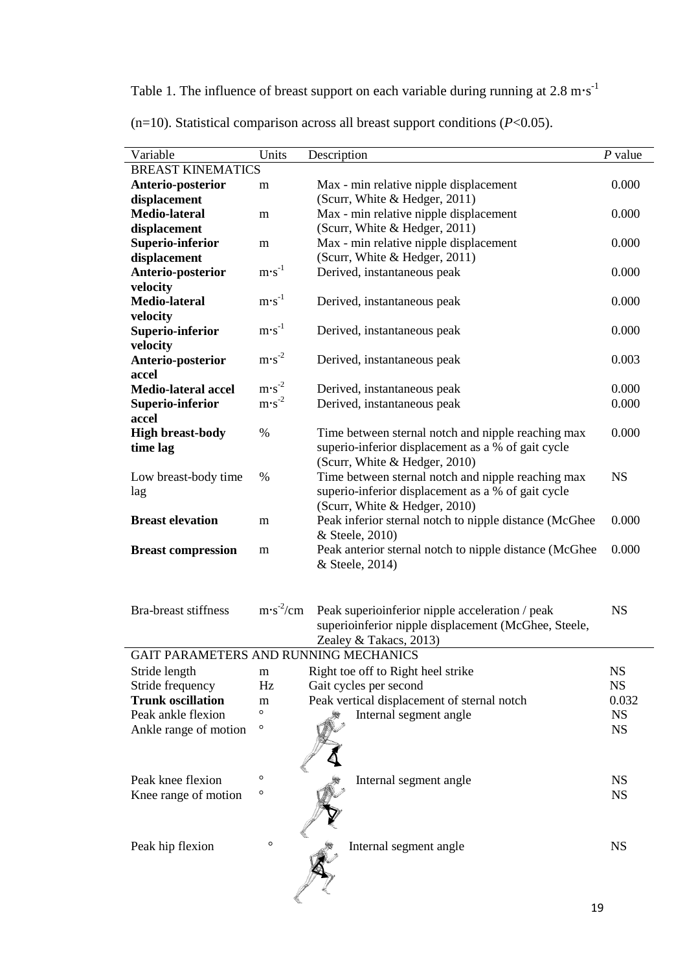Table 1. The influence of breast support on each variable during running at  $2.8 \text{ m} \cdot \text{s}^{-1}$ 

| Variable                                             | Units                  | Description                                            | $P$ value |  |  |  |
|------------------------------------------------------|------------------------|--------------------------------------------------------|-----------|--|--|--|
| <b>BREAST KINEMATICS</b>                             |                        |                                                        |           |  |  |  |
| Anterio-posterior                                    | m                      | Max - min relative nipple displacement                 | 0.000     |  |  |  |
| displacement                                         |                        | (Scurr, White & Hedger, 2011)                          |           |  |  |  |
| <b>Medio-lateral</b>                                 | m                      | Max - min relative nipple displacement                 | 0.000     |  |  |  |
| displacement                                         |                        | (Scurr, White & Hedger, 2011)                          |           |  |  |  |
| Superio-inferior                                     | m                      | Max - min relative nipple displacement                 | 0.000     |  |  |  |
| displacement                                         |                        | (Scurr, White & Hedger, 2011)                          |           |  |  |  |
| Anterio-posterior                                    | $m\cdot s^{-1}$        | Derived, instantaneous peak                            | 0.000     |  |  |  |
| velocity                                             |                        |                                                        |           |  |  |  |
| <b>Medio-lateral</b>                                 | $m\cdot s^{-1}$        | Derived, instantaneous peak                            | 0.000     |  |  |  |
| velocity                                             |                        |                                                        |           |  |  |  |
| Superio-inferior                                     | $m\cdot s^{-1}$        | Derived, instantaneous peak                            | 0.000     |  |  |  |
| velocity                                             |                        |                                                        |           |  |  |  |
| Anterio-posterior                                    | $m\cdot s^{-2}$        | Derived, instantaneous peak                            | 0.003     |  |  |  |
| accel                                                |                        |                                                        |           |  |  |  |
| <b>Medio-lateral accel</b>                           | $m\cdot s^{-2}$        | Derived, instantaneous peak                            | 0.000     |  |  |  |
| Superio-inferior                                     | $m\cdot s^{-2}$        | Derived, instantaneous peak                            | 0.000     |  |  |  |
| accel<br><b>High breast-body</b>                     | $\%$                   | Time between sternal notch and nipple reaching max     | 0.000     |  |  |  |
| time lag                                             |                        | superio-inferior displacement as a % of gait cycle     |           |  |  |  |
|                                                      |                        | (Scurr, White & Hedger, 2010)                          |           |  |  |  |
| Low breast-body time                                 | %                      | Time between sternal notch and nipple reaching max     | <b>NS</b> |  |  |  |
| lag                                                  |                        | superio-inferior displacement as a % of gait cycle     |           |  |  |  |
|                                                      |                        | (Scurr, White & Hedger, 2010)                          |           |  |  |  |
| <b>Breast elevation</b>                              | m                      | Peak inferior sternal notch to nipple distance (McGhee | 0.000     |  |  |  |
|                                                      |                        | & Steele, 2010)                                        |           |  |  |  |
| <b>Breast compression</b>                            | m                      | Peak anterior sternal notch to nipple distance (McGhee | 0.000     |  |  |  |
|                                                      |                        | & Steele, 2014)                                        |           |  |  |  |
|                                                      |                        |                                                        |           |  |  |  |
|                                                      |                        |                                                        |           |  |  |  |
| <b>Bra-breast stiffness</b>                          | $m \cdot s^{-2}/cm$    | Peak superioinferior nipple acceleration / peak        | <b>NS</b> |  |  |  |
| superioinferior nipple displacement (McGhee, Steele, |                        |                                                        |           |  |  |  |
|                                                      | Zealey & Takacs, 2013) |                                                        |           |  |  |  |
| GAIT PARAMETERS AND RUNNING MECHANICS                |                        |                                                        |           |  |  |  |
| Stride length                                        | m                      | Right toe off to Right heel strike                     | <b>NS</b> |  |  |  |
| Stride frequency                                     | Hz                     | Gait cycles per second                                 | <b>NS</b> |  |  |  |
| <b>Trunk oscillation</b>                             | m                      | Peak vertical displacement of sternal notch            | 0.032     |  |  |  |
| Peak ankle flexion                                   | O                      | Internal segment angle                                 | <b>NS</b> |  |  |  |
| Ankle range of motion                                | $\circ$                |                                                        | <b>NS</b> |  |  |  |
|                                                      |                        |                                                        |           |  |  |  |
|                                                      |                        |                                                        |           |  |  |  |
| Peak knee flexion                                    | O                      | Internal segment angle                                 | <b>NS</b> |  |  |  |
| Knee range of motion                                 | O                      |                                                        | <b>NS</b> |  |  |  |
|                                                      |                        |                                                        |           |  |  |  |
|                                                      |                        |                                                        |           |  |  |  |
|                                                      |                        |                                                        |           |  |  |  |
| Peak hip flexion                                     | O                      | Internal segment angle                                 | <b>NS</b> |  |  |  |
|                                                      |                        |                                                        |           |  |  |  |
|                                                      |                        |                                                        |           |  |  |  |
|                                                      |                        |                                                        |           |  |  |  |

(n=10). Statistical comparison across all breast support conditions (*P*<0.05).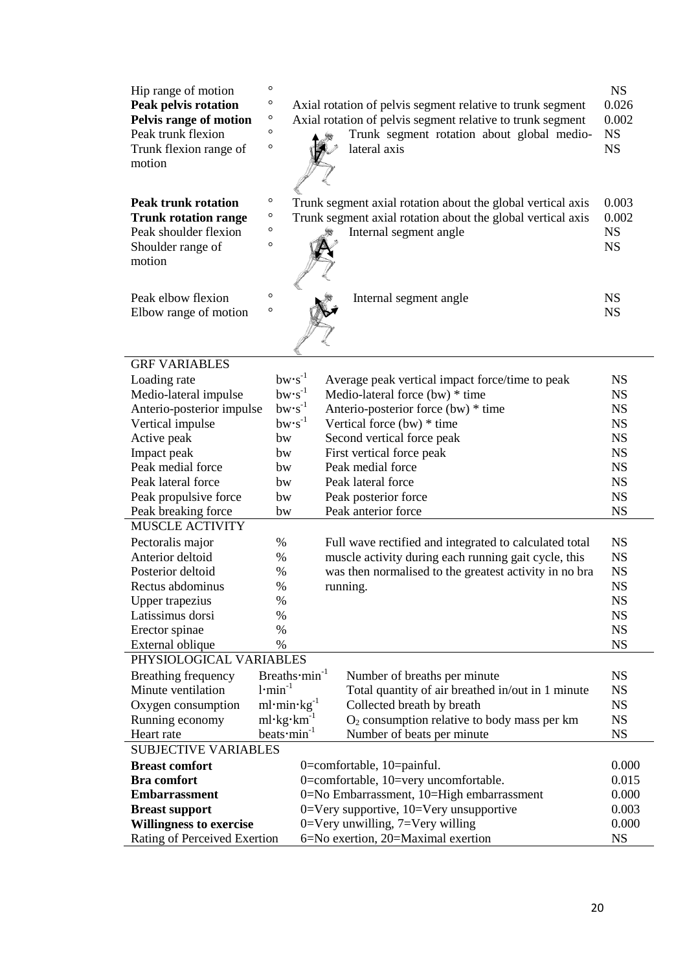| Hip range of motion<br><b>Peak pelvis rotation</b><br>Pelvis range of motion<br>Peak trunk flexion<br>Trunk flexion range of<br>motion | $\circ$<br>$\circ$<br>$\circ$<br>$\circ$<br>$\circ$ | Axial rotation of pelvis segment relative to trunk segment<br>Axial rotation of pelvis segment relative to trunk segment<br>Trunk segment rotation about global medio-<br>lateral axis | <b>NS</b><br>0.026<br>0.002<br><b>NS</b><br><b>NS</b> |  |  |  |
|----------------------------------------------------------------------------------------------------------------------------------------|-----------------------------------------------------|----------------------------------------------------------------------------------------------------------------------------------------------------------------------------------------|-------------------------------------------------------|--|--|--|
| <b>Peak trunk rotation</b><br><b>Trunk rotation range</b><br>Peak shoulder flexion<br>Shoulder range of<br>motion                      | $\circ$<br>$\circ$<br>$\circ$<br>$\circ$            | Trunk segment axial rotation about the global vertical axis<br>Trunk segment axial rotation about the global vertical axis<br>Internal segment angle                                   | 0.003<br>0.002<br><b>NS</b><br><b>NS</b>              |  |  |  |
| Peak elbow flexion<br>Elbow range of motion                                                                                            | $\circ$<br>$\circ$                                  | Internal segment angle                                                                                                                                                                 | <b>NS</b><br><b>NS</b>                                |  |  |  |
| <b>GRF VARIABLES</b>                                                                                                                   |                                                     |                                                                                                                                                                                        |                                                       |  |  |  |
| Loading rate                                                                                                                           | $bw\cdot s^{-1}$                                    | Average peak vertical impact force/time to peak                                                                                                                                        | <b>NS</b>                                             |  |  |  |
| Medio-lateral impulse                                                                                                                  | $bw\cdot s^{-1}$                                    | Medio-lateral force (bw) * time                                                                                                                                                        | <b>NS</b>                                             |  |  |  |
| Anterio-posterior impulse                                                                                                              | $bw\cdot s^{-1}$                                    | Anterio-posterior force (bw) * time                                                                                                                                                    | <b>NS</b>                                             |  |  |  |
| Vertical impulse                                                                                                                       | $bw \cdot s^{-1}$                                   | Vertical force $(bw)$ * time                                                                                                                                                           | <b>NS</b>                                             |  |  |  |
| Active peak                                                                                                                            | bw                                                  | Second vertical force peak                                                                                                                                                             | <b>NS</b>                                             |  |  |  |
| Impact peak                                                                                                                            | bw                                                  | First vertical force peak                                                                                                                                                              | <b>NS</b>                                             |  |  |  |
| Peak medial force                                                                                                                      | bw                                                  | Peak medial force                                                                                                                                                                      | <b>NS</b>                                             |  |  |  |
| Peak lateral force                                                                                                                     | bw                                                  | Peak lateral force                                                                                                                                                                     | <b>NS</b><br><b>NS</b>                                |  |  |  |
| Peak propulsive force                                                                                                                  | bw                                                  | Peak posterior force<br>Peak anterior force                                                                                                                                            | <b>NS</b>                                             |  |  |  |
| Peak breaking force<br><b>MUSCLE ACTIVITY</b>                                                                                          | bw                                                  |                                                                                                                                                                                        |                                                       |  |  |  |
|                                                                                                                                        |                                                     |                                                                                                                                                                                        |                                                       |  |  |  |
| Pectoralis major<br>Anterior deltoid                                                                                                   | %                                                   | Full wave rectified and integrated to calculated total                                                                                                                                 | <b>NS</b><br><b>NS</b>                                |  |  |  |
| Posterior deltoid                                                                                                                      | %<br>$\%$                                           | muscle activity during each running gait cycle, this                                                                                                                                   | <b>NS</b>                                             |  |  |  |
| Rectus abdominus                                                                                                                       | %                                                   | was then normalised to the greatest activity in no bra<br>running.                                                                                                                     | <b>NS</b>                                             |  |  |  |
| <b>Upper trapezius</b>                                                                                                                 | $\%$                                                |                                                                                                                                                                                        | <b>NS</b>                                             |  |  |  |
| Latissimus dorsi                                                                                                                       | %                                                   |                                                                                                                                                                                        | <b>NS</b>                                             |  |  |  |
| Erector spinae                                                                                                                         | $\%$                                                |                                                                                                                                                                                        | <b>NS</b>                                             |  |  |  |
| External oblique                                                                                                                       | $\%$                                                |                                                                                                                                                                                        | <b>NS</b>                                             |  |  |  |
| PHYSIOLOGICAL VARIABLES                                                                                                                |                                                     |                                                                                                                                                                                        |                                                       |  |  |  |
| Breathing frequency                                                                                                                    | Breaths min <sup>-1</sup>                           | Number of breaths per minute                                                                                                                                                           | <b>NS</b>                                             |  |  |  |
| Minute ventilation                                                                                                                     | $1$ ·min <sup>-1</sup>                              | Total quantity of air breathed in/out in 1 minute                                                                                                                                      | <b>NS</b>                                             |  |  |  |
| Oxygen consumption                                                                                                                     | $ml·min·kg-1$<br>Collected breath by breath         |                                                                                                                                                                                        | <b>NS</b>                                             |  |  |  |
| Running economy                                                                                                                        | $ml$ ·kg·km <sup>-1</sup>                           | $O2$ consumption relative to body mass per km                                                                                                                                          | <b>NS</b>                                             |  |  |  |
| Heart rate                                                                                                                             | beats $\cdot$ min <sup>-1</sup>                     | Number of beats per minute                                                                                                                                                             | <b>NS</b>                                             |  |  |  |
| <b>SUBJECTIVE VARIABLES</b>                                                                                                            |                                                     |                                                                                                                                                                                        |                                                       |  |  |  |
| <b>Breast comfort</b>                                                                                                                  |                                                     | 0=comfortable, 10=painful.                                                                                                                                                             | 0.000                                                 |  |  |  |
| <b>Bra</b> comfort                                                                                                                     |                                                     | 0=comfortable, 10=very uncomfortable.                                                                                                                                                  | 0.015                                                 |  |  |  |
| <b>Embarrassment</b>                                                                                                                   |                                                     | 0=No Embarrassment, 10=High embarrassment                                                                                                                                              | 0.000                                                 |  |  |  |
| $0=$ Very supportive, $10=$ Very unsupportive<br><b>Breast support</b>                                                                 |                                                     |                                                                                                                                                                                        | 0.003                                                 |  |  |  |
| 0=Very unwilling, $7=$ Very willing<br><b>Willingness to exercise</b>                                                                  |                                                     |                                                                                                                                                                                        | 0.000                                                 |  |  |  |
| Rating of Perceived Exertion<br>6=No exertion, 20=Maximal exertion                                                                     |                                                     |                                                                                                                                                                                        | <b>NS</b>                                             |  |  |  |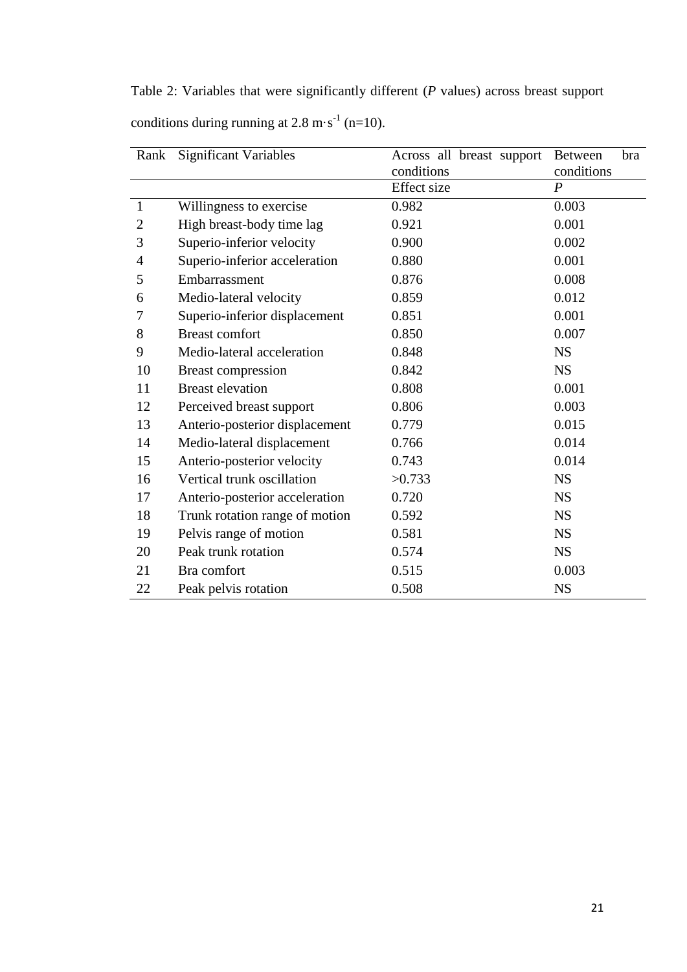Table 2: Variables that were significantly different (*P* values) across breast support conditions during running at 2.8 m $\cdot$ s<sup>-1</sup> (n=10).

| Rank           | <b>Significant Variables</b>   | Across all breast support | <b>Between</b><br>bra |
|----------------|--------------------------------|---------------------------|-----------------------|
|                |                                | conditions                | conditions            |
|                |                                | <b>Effect</b> size        | $\overline{P}$        |
| 1              | Willingness to exercise        | 0.982                     | 0.003                 |
| $\overline{2}$ | High breast-body time lag      | 0.921                     | 0.001                 |
| 3              | Superio-inferior velocity      | 0.900                     | 0.002                 |
| $\overline{4}$ | Superio-inferior acceleration  | 0.880                     | 0.001                 |
| 5              | Embarrassment                  | 0.876                     | 0.008                 |
| 6              | Medio-lateral velocity         | 0.859                     | 0.012                 |
| 7              | Superio-inferior displacement  | 0.851                     | 0.001                 |
| 8              | <b>Breast comfort</b>          | 0.850                     | 0.007                 |
| 9              | Medio-lateral acceleration     | 0.848                     | <b>NS</b>             |
| 10             | <b>Breast compression</b>      | 0.842                     | <b>NS</b>             |
| 11             | <b>Breast elevation</b>        | 0.808                     | 0.001                 |
| 12             | Perceived breast support       | 0.806                     | 0.003                 |
| 13             | Anterio-posterior displacement | 0.779                     | 0.015                 |
| 14             | Medio-lateral displacement     | 0.766                     | 0.014                 |
| 15             | Anterio-posterior velocity     | 0.743                     | 0.014                 |
| 16             | Vertical trunk oscillation     | >0.733                    | <b>NS</b>             |
| 17             | Anterio-posterior acceleration | 0.720                     | <b>NS</b>             |
| 18             | Trunk rotation range of motion | 0.592                     | <b>NS</b>             |
| 19             | Pelvis range of motion         | 0.581                     | <b>NS</b>             |
| 20             | Peak trunk rotation            | 0.574                     | <b>NS</b>             |
| 21             | Bra comfort                    | 0.515                     | 0.003                 |
| 22             | Peak pelvis rotation           | 0.508                     | <b>NS</b>             |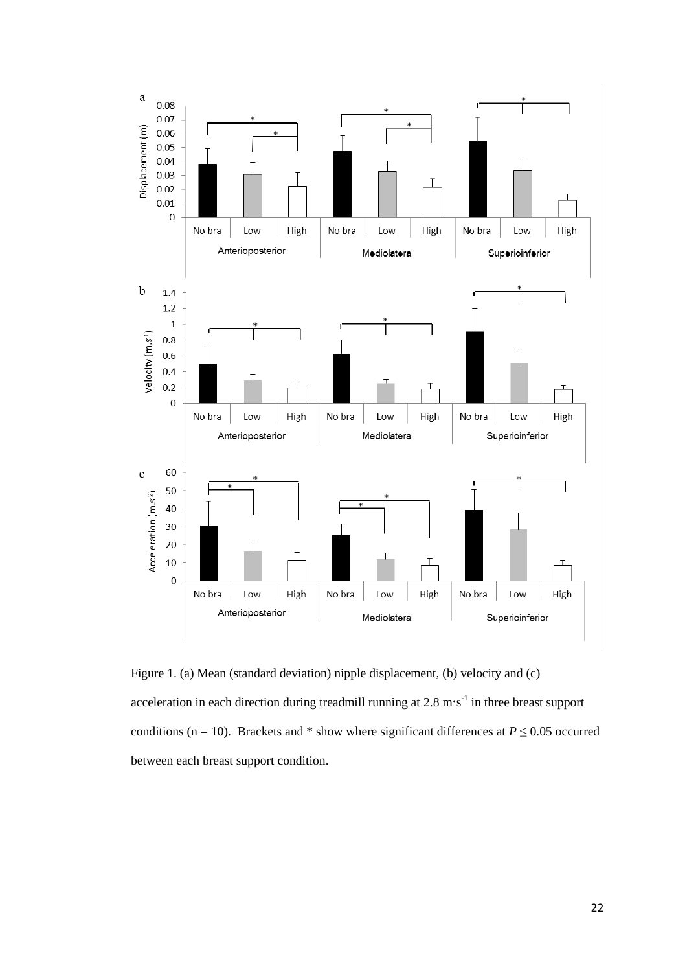

Figure 1. (a) Mean (standard deviation) nipple displacement, (b) velocity and (c) acceleration in each direction during treadmill running at  $2.8 \text{ m} \cdot \text{s}^{-1}$  in three breast support conditions (n = 10). Brackets and \* show where significant differences at  $P \le 0.05$  occurred between each breast support condition.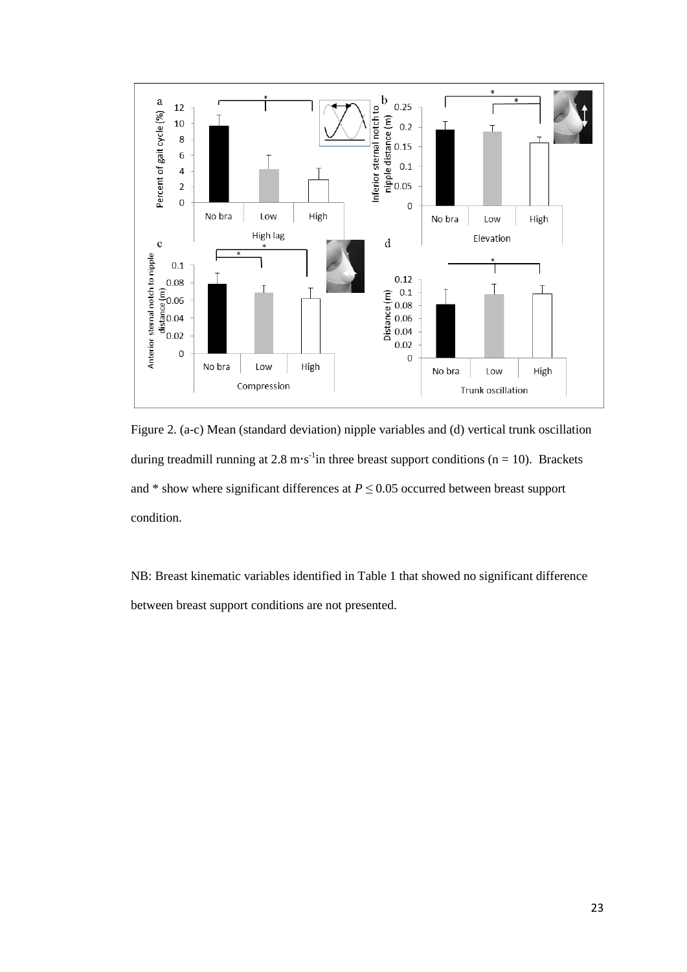

Figure 2. (a-c) Mean (standard deviation) nipple variables and (d) vertical trunk oscillation during treadmill running at 2.8 m·s<sup>-1</sup>in three breast support conditions ( $n = 10$ ). Brackets and  $*$  show where significant differences at  $P \leq 0.05$  occurred between breast support condition.

NB: Breast kinematic variables identified in Table 1 that showed no significant difference between breast support conditions are not presented.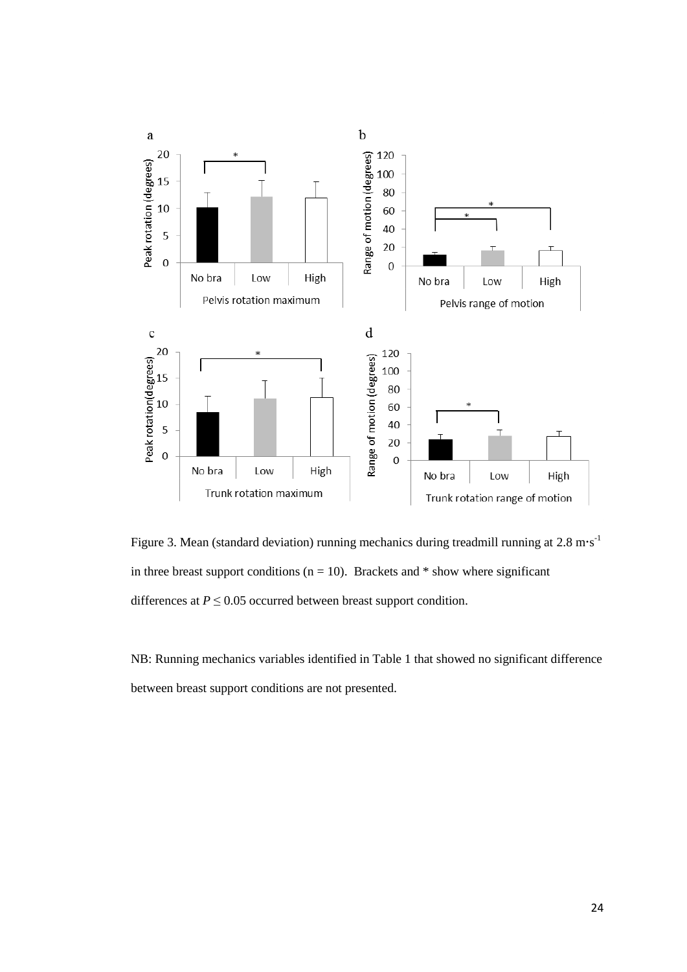

Figure 3. Mean (standard deviation) running mechanics during treadmill running at  $2.8 \text{ m} \cdot \text{s}^{-1}$ in three breast support conditions ( $n = 10$ ). Brackets and  $*$  show where significant differences at  $P \leq 0.05$  occurred between breast support condition.

NB: Running mechanics variables identified in Table 1 that showed no significant difference between breast support conditions are not presented.